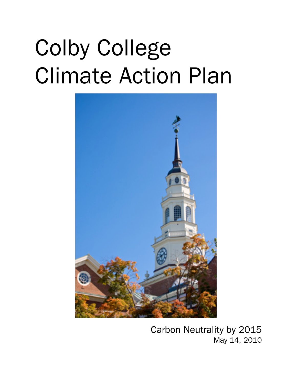# Colby College Climate Action Plan



Carbon Neutrality by 2015 May 14, 2010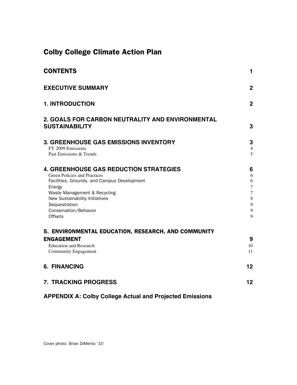# Colby College Climate Action Plan

| <b>CONTENTS</b>                                                                                                                                                                                                                                               | 1                                                                                                                    |
|---------------------------------------------------------------------------------------------------------------------------------------------------------------------------------------------------------------------------------------------------------------|----------------------------------------------------------------------------------------------------------------------|
| <b>EXECUTIVE SUMMARY</b>                                                                                                                                                                                                                                      | $\overline{2}$                                                                                                       |
| <b>1. INTRODUCTION</b>                                                                                                                                                                                                                                        | $\mathbf{2}$                                                                                                         |
| 2. GOALS FOR CARBON NEUTRALITY AND ENVIRONMENTAL<br><b>SUSTAINABILITY</b>                                                                                                                                                                                     | 3                                                                                                                    |
| <b>3. GREENHOUSE GAS EMISSIONS INVENTORY</b><br>FY 2009 Emissions<br>Past Emissions & Trends                                                                                                                                                                  | 3<br>$\overline{4}$<br>5                                                                                             |
| 4. GREENHOUSE GAS REDUCTION STRATEGIES<br>Green Policies and Practices<br>Facilities, Grounds, and Campus Development<br>Energy<br>Waste Management & Recycling<br>New Sustainability Initiatives<br>Sequestration<br>Conservation/Behavior<br><b>Offsets</b> | 6<br>6<br>$\sqrt{6}$<br>$\overline{7}$<br>$\overline{7}$<br>$\,$ 8 $\,$<br>$\boldsymbol{9}$<br>$\boldsymbol{9}$<br>9 |
| 5. ENVIRONMENTAL EDUCATION, RESEARCH, AND COMMUNITY<br><b>ENGAGEMENT</b><br><b>Education and Research</b><br><b>Community Engagement</b>                                                                                                                      | 9<br>10<br>11                                                                                                        |
| <b>6. FINANCING</b>                                                                                                                                                                                                                                           | 12                                                                                                                   |
| <b>7. TRACKING PROGRESS</b>                                                                                                                                                                                                                                   | 12                                                                                                                   |

# **APPENDIX A: Colby College Actual and Projected Emissions**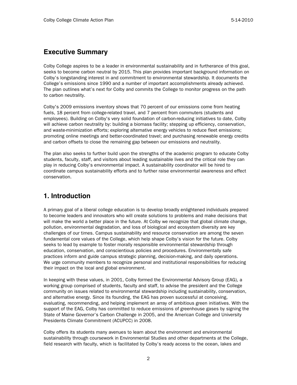## **Executive Summary**

Colby College aspires to be a leader in environmental sustainability and in furtherance of this goal, seeks to become carbon neutral by 2015. This plan provides important background information on Colby's longstanding interest in and commitment to environmental stewardship. It documents the College's emissions since 1990 and a number of important accomplishments already achieved. The plan outlines what's next for Colby and commits the College to monitor progress on the path to carbon neutrality.

Colby's 2009 emissions inventory shows that 70 percent of our emissions come from heating fuels, 18 percent from college-related travel, and 7 percent from commuters (students and employees). Building on Colby's very solid foundation of carbon-reducing initiatives to date, Colby will achieve carbon neutrality by: building a biomass facility; stepping up efficiency, conservation, and waste-minimization efforts; exploring alternative energy vehicles to reduce fleet emissions; promoting online meetings and better-coordinated travel; and purchasing renewable energy credits and carbon offsets to close the remaining gap between our emissions and neutrality.

The plan also seeks to further build upon the strengths of the academic program to educate Colby students, faculty, staff, and visitors about leading sustainable lives and the critical role they can play in reducing Colby's environmental impact. A sustainability coordinator will be hired to coordinate campus sustainability efforts and to further raise environmental awareness and effect conservation.

# **1. Introduction**

A primary goal of a liberal college education is to develop broadly enlightened individuals prepared to become leaders and innovators who will create solutions to problems and make decisions that will make the world a better place in the future. At Colby we recognize that global climate change, pollution, environmental degradation, and loss of biological and ecosystem diversity are key challenges of our times. Campus sustainability and resource conservation are among the seven fundamental core values of the College, which help shape Colby's vision for the future. Colby seeks to lead by example to foster morally responsible environmental stewardship through education, conservation, and conscientious policies and procedures. Environmentally safe practices inform and guide campus strategic planning, decision-making, and daily operations. We urge community members to recognize personal and institutional responsibilities for reducing their impact on the local and global environment.

In keeping with these values, in 2001, Colby formed the Environmental Advisory Group (EAG), a working group comprised of students, faculty and staff, to advise the president and the College community on issues related to environmental stewardship including sustainability, conservation, and alternative energy. Since its founding, the EAG has proven successful at conceiving, evaluating, recommending, and helping implement an array of ambitious green initiatives. With the support of the EAG, Colby has committed to reduce emissions of greenhouse gases by signing the State of Maine Governor's Carbon Challenge in 2005, and the American College and University Presidents Climate Commitment (ACUPCC) in 2008.

Colby offers its students many avenues to learn about the environment and environmental sustainability through coursework in Environmental Studies and other departments at the College, field research with faculty, which is facilitated by Colby's ready access to the ocean, lakes and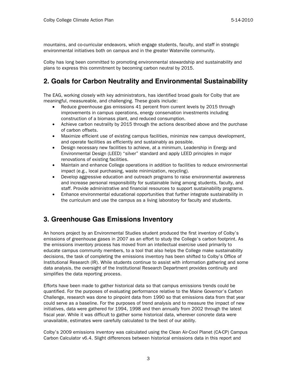mountains, and co-curricular endeavors, which engage students, faculty, and staff in strategic environmental initiatives both on campus and in the greater Waterville community.

Colby has long been committed to promoting environmental stewardship and sustainability and plans to express this commitment by becoming carbon neutral by 2015.

# **2. Goals for Carbon Neutrality and Environmental Sustainability**

The EAG, working closely with key administrators, has identified broad goals for Colby that are meaningful, measureable, and challenging. These goals include:

- Reduce greenhouse gas emissions 41 percent from current levels by 2015 through improvements in campus operations, energy conservation investments including construction of a biomass plant, and reduced consumption.
- Achieve carbon neutrality by 2015 through the actions described above and the purchase of carbon offsets.
- Maximize efficient use of existing campus facilities, minimize new campus development, and operate facilities as efficiently and sustainably as possible.
- Design necessary new facilities to achieve, at a minimum, Leadership in Energy and Environmental Design (LEED) "silver" standard and apply LEED principles in major renovations of existing facilities.
- Maintain and enhance College operations in addition to facilities to reduce environmental impact (e.g., local purchasing, waste minimization, recycling).
- Develop aggressive education and outreach programs to raise environmental awareness and increase personal responsibility for sustainable living among students, faculty, and staff. Provide administrative and financial resources to support sustainability programs.
- Enhance environmental educational opportunities that further integrate sustainability in the curriculum and use the campus as a living laboratory for faculty and students.

# **3. Greenhouse Gas Emissions Inventory**

An honors project by an Environmental Studies student produced the first inventory of Colby's emissions of greenhouse gases in 2007 as an effort to study the College's carbon footprint. As the emissions inventory process has moved from an intellectual exercise used primarily to educate campus community members, to a tool that also helps the College make sustainability decisions, the task of completing the emissions inventory has been shifted to Colby's Office of Institutional Research (IR). While students continue to assist with information gathering and some data analysis, the oversight of the Institutional Research Department provides continuity and simplifies the data reporting process.

Efforts have been made to gather historical data so that campus emissions trends could be quantified. For the purposes of evaluating performance relative to the Maine Governor's Carbon Challenge, research was done to pinpoint data from 1990 so that emissions data from that year could serve as a baseline. For the purposes of trend analysis and to measure the impact of new initiatives, data were gathered for 1994, 1998 and then annually from 2002 through the latest fiscal year. While it was difficult to gather some historical data, wherever concrete data were unavailable, estimates were carefully calculated to the best of our ability.

Colby's 2009 emissions inventory was calculated using the Clean Air-Cool Planet (CA-CP) Campus Carbon Calculator v6.4. Slight differences between historical emissions data in this report and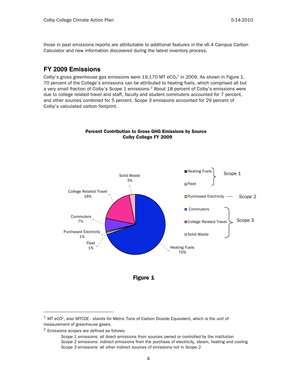those in past emissions reports are attributable to additional features in the v6.4 Campus Carbon Calculator and new information discovered during the latest inventory process.

## **FY 2009 Emissions**

Colby's gross greenhouse gas emissions were 19,170 MT eCO $_2^{\rm 1}$  in 2009. As shown in Figure 1, 70 percent of the College's emissions can be attributed to heating fuels, which comprised all but a very small fraction of Colby's Scope 1 emissions.<sup>2</sup> About 18 percent of Colby's emissions were due to college related travel and staff, faculty and student commuters accounted for 7 percent, and other sources combined for 5 percent. Scope 3 emissions accounted for 29 percent of Colby's calculated carbon footprint.



#### Percent Contribution to Gross GHG Emissions by Source Colby College FY 2009



 $^{\rm 1}$  MT eCO<sup>2</sup>, also MTCDE - stands for Metric Tons of Carbon Dioxide Equivalent, which is the unit of measurement of greenhouse gases.

<sup>2</sup> Emissions scopes are defined as follows:

Scope 1 emissions: all direct emissions from sources owned or controlled by the institution Scope 2 emissions: indirect emissions from the purchase of electricity, steam, heating and cooling Scope 3 emissions: all other indirect sources of emissions not in Scope 2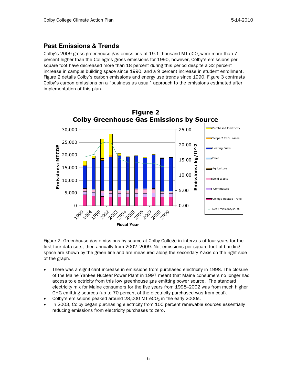## **Past Emissions & Trends**

Colby's 2009 gross greenhouse gas emissions of 19.1 thousand MT eCO<sub>2</sub> were more than 7 percent higher than the College's gross emissions for 1990, however, Colby's emissions per square foot have decreased more than 18 percent during this period despite a 32 percent increase in campus building space since 1990, and a 9 percent increase in student enrollment. Figure 2 details Colby's carbon emissions and energy use trends since 1990. Figure 3 contrasts Colby's carbon emissions on a "business as usual" approach to the emissions estimated after implementation of this plan.



Figure 2. Greenhouse gas emissions by source at Colby College in intervals of four years for the first four data sets, then annually from 2002–2009. Net emissions per square foot of building space are shown by the green line and are measured along the secondary Y-axis on the right side of the graph.

- There was a significant increase in emissions from purchased electricity in 1998. The closure of the Maine Yankee Nuclear Power Plant in 1997 meant that Maine consumers no longer had access to electricity from this low greenhouse gas emitting power source. The standard electricity mix for Maine consumers for the five years from 1998–2002 was from much higher GHG emitting sources (up to 70 percent of the electricity purchased was from coal).
- Colby's emissions peaked around  $28,000$  MT  $eCO<sub>2</sub>$  in the early 2000s.
- In 2003, Colby began purchasing electricity from 100 percent renewable sources essentially reducing emissions from electricity purchases to zero.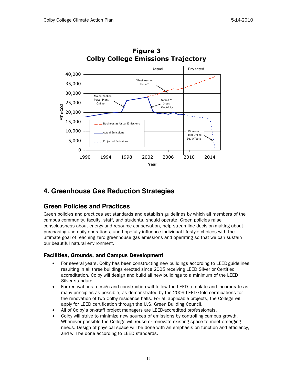

## **Figure 3 Colby College Emissions Trajectory**

## **4. Greenhouse Gas Reduction Strategies**

## **Green Policies and Practices**

Green policies and practices set standards and establish guidelines by which all members of the campus community, faculty, staff, and students, should operate. Green policies raise consciousness about energy and resource conservation, help streamline decision-making about purchasing and daily operations, and hopefully influence individual lifestyle choices with the ultimate goal of reaching zero greenhouse gas emissions and operating so that we can sustain our beautiful natural environment.

### Facilities, Grounds, and Campus Development

- For several years, Colby has been constructing new buildings according to LEED guidelines resulting in all three buildings erected since 2005 receiving LEED Silver or Certified accreditation. Colby will design and build all new buildings to a minimum of the LEED Silver standard.
- For renovations, design and construction will follow the LEED template and incorporate as many principles as possible, as demonstrated by the 2009 LEED Gold certifications for the renovation of two Colby residence halls. For all applicable projects, the College will apply for LEED certification through the U.S. Green Building Council.
- All of Colby's on-staff project managers are LEED-accredited professionals.
- Colby will strive to minimize new sources of emissions by controlling campus growth. Whenever possible the College will reuse or renovate existing space to meet emerging needs. Design of physical space will be done with an emphasis on function and efficiency, and will be done according to LEED standards.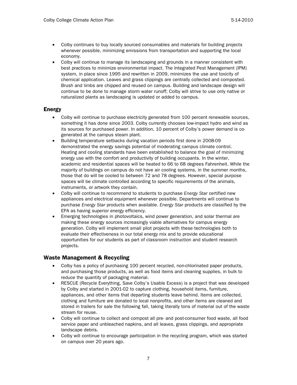- Colby continues to buy locally sourced consumables and materials for building projects whenever possible, minimizing emissions from transportation and supporting the local economy.
- Colby will continue to manage its landscaping and grounds in a manner consistent with best practices to minimize environmental impact. The Integrated Pest Management (IPM) system, in place since 1995 and rewritten in 2009, minimizes the use and toxicity of chemical application. Leaves and grass clippings are centrally collected and composted. Brush and limbs are chipped and reused on campus. Building and landscape design will continue to be done to manage storm water runoff; Colby will strive to use only native or naturalized plants as landscaping is updated or added to campus.

#### Energy

- Colby will continue to purchase electricity generated from 100 percent renewable sources, something it has done since 2003. Colby currently chooses low-impact hydro and wind as its sources for purchased power. In addition, 10 percent of Colby's power demand is cogenerated at the campus steam plant.
- Building temperature setbacks during vacation periods first done in 2008-09 demonstrated the energy savings potential of moderating campus climate control. Heating and cooling standards have been established to balance the goal of minimizing energy use with the comfort and productivity of building occupants. In the winter, academic and residential spaces will be heated to 66 to 68 degrees Fahrenheit. While the majority of buildings on campus do not have air cooling systems, in the summer months, those that do will be cooled to between 72 and 78 degrees. However, special purpose spaces will be climate controlled according to specific requirements of the animals, instruments, or artwork they contain.
- Colby will continue to recommend to students to purchase Energy Star certified new appliances and electrical equipment whenever possible. Departments will continue to purchase Energy Star products when available. Energy Star products are classified by the EPA as having superior energy efficiency.
- Emerging technologies in photovoltaics, wind power generation, and solar thermal are making these energy sources increasingly viable alternatives for campus energy generation. Colby will implement small pilot projects with these technologies both to evaluate their effectiveness in our total energy mix and to provide educational opportunities for our students as part of classroom instruction and student research projects.

#### Waste Management & Recycling

- Colby has a policy of purchasing 100 percent recycled, non-chlorinated paper products, and purchasing those products, as well as food items and cleaning supplies, in bulk to reduce the quantity of packaging material.
- RESCUE (Recycle Everything, Save Colby's Usable Excess) is a project that was developed by Colby and started in 2001-02 to capture clothing, household items, furniture, appliances, and other items that departing students leave behind. Items are collected, clothing and furniture are donated to local nonprofits, and other items are cleaned and stored in trailers for sale the following fall, taking literally tons of material out of the waste stream for reuse.
- Colby will continue to collect and compost all pre- and post-consumer food waste, all food service paper and unbleached napkins, and all leaves, grass clippings, and appropriate landscape debris.
- Colby will continue to encourage participation in the recycling program, which was started on campus over 20 years ago.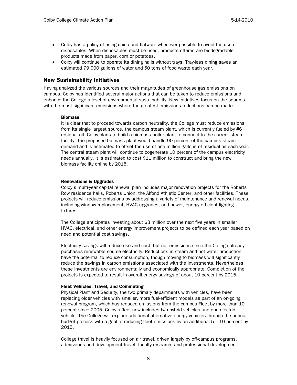- Colby has a policy of using china and flatware whenever possible to avoid the use of disposables. When disposables must be used, products offered are biodegradable products made from paper, corn or potatoes.
- Colby will continue to operate its dining halls without trays. Tray-less dining saves an estimated 79,000 gallons of water and 50 tons of food waste each year.

#### New Sustainability Initiatives

Having analyzed the various sources and their magnitudes of greenhouse gas emissions on campus, Colby has identified several major actions that can be taken to reduce emissions and enhance the College's level of environmental sustainability. New initiatives focus on the sources with the most significant emissions where the greatest emissions reductions can be made.

#### **Biomass**

It is clear that to proceed towards carbon neutrality, the College must reduce emissions from its single largest source, the campus steam plant, which is currently fueled by #6 residual oil. Colby plans to build a biomass boiler plant to connect to the current steam facility. The proposed biomass plant would handle 90 percent of the campus steam demand and is estimated to offset the use of one million gallons of residual oil each year. The central steam plant will continue to cogenerate 10 percent of the campus electricity needs annually. It is estimated to cost \$11 million to construct and bring the new biomass facility online by 2015.

#### Renovations & Upgrades

Colby's multi-year capital renewal plan includes major renovation projects for the Roberts Row residence halls, Roberts Union, the Alfond Athletic Center, and other facilities. These projects will reduce emissions by addressing a variety of maintenance and renewal needs, including window replacement, HVAC upgrades, and newer, energy efficient lighting fixtures.

The College anticipates investing about \$3 million over the next five years in smaller HVAC, electrical, and other energy improvement projects to be defined each year based on need and potential cost savings.

Electricity savings will reduce use and cost, but not emissions since the College already purchases renewable source electricity. Reductions in steam and hot water production have the potential to reduce consumption, though moving to biomass will significantly reduce the savings in carbon emissions associated with the investments. Nevertheless, these investments are environmentally and economically appropriate. Completion of the projects is expected to result in overall energy savings of about 10 percent by 2015.

#### Fleet Vehicles, Travel, and Commuting

Physical Plant and Security, the two primary departments with vehicles, have been replacing older vehicles with smaller, more fuel-efficient models as part of an on-going renewal program, which has reduced emissions from the campus Fleet by more than 10 percent since 2005. Colby's fleet now includes two hybrid vehicles and one electric vehicle. The College will explore additional alternative energy vehicles through the annual budget process with a goal of reducing fleet emissions by an additional  $5 - 10$  percent by 2015.

College travel is heavily focused on air travel, driven largely by off-campus programs, admissions and development travel, faculty research, and professional development.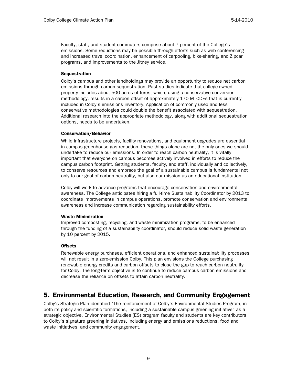Faculty, staff, and student commuters comprise about 7 percent of the College's emissions. Some reductions may be possible through efforts such as web conferencing and increased travel coordination, enhancement of carpooling, bike-sharing, and Zipcar programs, and improvements to the Jitney service.

#### Sequestration

Colby's campus and other landholdings may provide an opportunity to reduce net carbon emissions through carbon sequestration. Past studies indicate that college-owned property includes about 500 acres of forest which, using a conservative conversion methodology, results in a carbon offset of approximately 170 MTCDEs that is currently included in Colby's emissions inventory. Application of commonly used and less conservative methodologies could double the benefit associated with sequestration. Additional research into the appropriate methodology, along with additional sequestration options, needs to be undertaken.

#### Conservation/Behavior

While infrastructure projects, facility renovations, and equipment upgrades are essential in campus greenhouse gas reduction, these things alone are not the only ones we should undertake to reduce our emissions. In order to reach carbon neutrality, it is vitally important that everyone on campus becomes actively involved in efforts to reduce the campus carbon footprint. Getting students, faculty, and staff, individually and collectively, to conserve resources and embrace the goal of a sustainable campus is fundamental not only to our goal of carbon neutrality, but also our mission as an educational institution.

Colby will work to advance programs that encourage conservation and environmental awareness. The College anticipates hiring a full-time Sustainability Coordinator by 2013 to coordinate improvements in campus operations, promote conservation and environmental awareness and increase communication regarding sustainability efforts.

#### Waste Minimization

Improved composting, recycling, and waste minimization programs, to be enhanced through the funding of a sustainability coordinator, should reduce solid waste generation by 10 percent by 2015.

#### Offsets

Renewable energy purchases, efficient operations, and enhanced sustainability processes will not result in a zero-emission Colby. This plan envisions the College purchasing renewable energy credits and carbon offsets to close the gap to reach carbon neutrality for Colby. The long-term objective is to continue to reduce campus carbon emissions and decrease the reliance on offsets to attain carbon neutrality.

## 5. Environmental Education, Research, and Community Engagement

Colby's Strategic Plan identified "The reinforcement of Colby's Environmental Studies Program, in both its policy and scientific formations, including a sustainable campus greening initiative" as a strategic objective. Environmental Studies (ES) program faculty and students are key contributors to Colby's signature greening initiatives, including energy and emissions reductions, food and waste initiatives, and community engagement.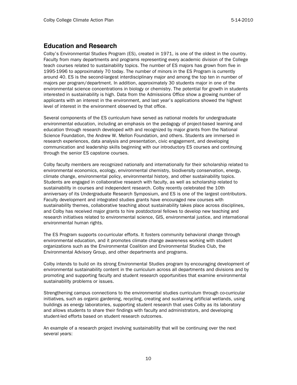## **Education and Research**

Colby's Environmental Studies Program (ES), created in 1971, is one of the oldest in the country. Faculty from many departments and programs representing every academic division of the College teach courses related to sustainability topics. The number of ES majors has grown from five in 1995-1996 to approximately 70 today. The number of minors in the ES Program is currently around 40. ES is the second-largest interdisciplinary major and among the top ten in number of majors per program/department. In addition, approximately 30 students major in one of the environmental science concentrations in biology or chemistry. The potential for growth in students interested in sustainability is high. Data from the Admissions Office show a growing number of applicants with an interest in the environment, and last year's applications showed the highest level of interest in the environment observed by that office.

Several components of the ES curriculum have served as national models for undergraduate environmental education, including an emphasis on the pedagogy of project-based learning and education through research developed with and recognized by major grants from the National Science Foundation, the Andrew W. Mellon Foundation, and others. Students are immersed in research experiences, data analysis and presentation, civic engagement, and developing communication and leadership skills beginning with our introductory ES courses and continuing through the senior ES capstone courses.

Colby faculty members are recognized nationally and internationally for their scholarship related to environmental economics, ecology, environmental chemistry, biodiversity conservation, energy, climate change, environmental policy, environmental history, and other sustainability topics. Students are engaged in collaborative research with faculty, as well as scholarship related to sustainability in courses and independent research. Colby recently celebrated the 10th anniversary of its Undergraduate Research Symposium, and ES is one of the largest contributors. Faculty development and integrated studies grants have encouraged new courses with sustainability themes, collaborative teaching about sustainability takes place across disciplines, and Colby has received major grants to hire postdoctoral fellows to develop new teaching and research initiatives related to environmental science, GIS, environmental justice, and international environmental human rights.

The ES Program supports co-curricular efforts. It fosters community behavioral change through environmental education, and it promotes climate change awareness working with student organizations such as the Environmental Coalition and Environmental Studies Club, the Environmental Advisory Group, and other departments and programs.

Colby intends to build on its strong Environmental Studies program by encouraging development of environmental sustainability content in the curriculum across all departments and divisions and by promoting and supporting faculty and student research opportunities that examine environmental sustainability problems or issues.

Strengthening campus connections to the environmental studies curriculum through co-curricular initiatives, such as organic gardening, recycling, creating and sustaining artificial wetlands, using buildings as energy laboratories, supporting student research that uses Colby as its laboratory and allows students to share their findings with faculty and administrators, and developing student-led efforts based on student research outcomes.

An example of a research project involving sustainability that will be continuing over the next several years: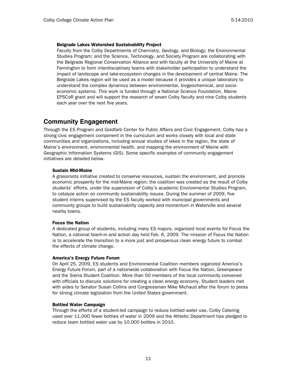#### Belgrade Lakes Watershed Sustainability Project

Faculty from the Colby Departments of Chemistry, Geology, and Biology; the Environmental Studies Program; and the Science, Technology, and Society Program are collaborating with the Belgrade Regional Conservation Alliance and with faculty at the University of Maine at Farmington to form interdisciplinary teams with stakeholder participation to understand the impact of landscape and lake-ecosystem changes in the development of central Maine. The Belgrade Lakes region will be used as a model because it provides a unique laboratory to understand the complex dynamics between environmental, biogeochemical, and socioeconomic systems. This work is funded through a National Science Foundation, Maine EPSCoR grant and will support the research of seven Colby faculty and nine Colby students each year over the next five years.

## **Community Engagement**

Through the ES Program and Goldfarb Center for Public Affairs and Civic Engagement, Colby has a strong civic engagement component in the curriculum and works closely with local and state communities and organizations, including annual studies of lakes in the region, the state of Maine's environment, environmental health, and mapping the environment of Maine with Geographic Information Systems (GIS). Some specific examples of community engagement initiatives are detailed below.

#### Sustain Mid-Maine

A grassroots initiative created to conserve resources, sustain the environment, and promote economic prosperity for the mid-Maine region; the coalition was created as the result of Colby students' efforts, under the supervision of Colby's academic Environmental Studies Program, to catalyze action on community sustainability issues. During the summer of 2009, five student interns supervised by the ES faculty worked with municipal governments and community groups to build sustainability capacity and momentum in Waterville and several nearby towns.

#### Focus the Nation

A dedicated group of students, including many ES majors, organized local events for Focus the Nation, a national teach-in and action day held Feb. 6, 2009. The mission of Focus the Nation is to accelerate the transition to a more just and prosperous clean energy future to combat the effects of climate change.

#### America's Energy Future Forum

On April 25, 2009, ES students and Environmental Coalition members organized America's Energy Future Forum, part of a nationwide collaboration with Focus the Nation, Greenpeace and the Sierra Student Coalition. More than 50 members of the local community convened with officials to discuss solutions for creating a clean energy economy. Student leaders met with aides to Senator Susan Collins and Congressman Mike Michaud after the forum to press for strong climate legislation from the United States government.

#### Bottled Water Campaign

Through the efforts of a student-led campaign to reduce bottled water use, Colby Catering used over 11,000 fewer bottles of water in 2009 and the Athletic Department has pledged to reduce team bottled water use by 10,000 bottles in 2010.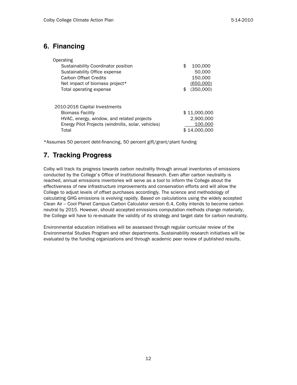# **6. Financing**

| Operating                                          |               |
|----------------------------------------------------|---------------|
| Sustainability Coordinator position                | \$<br>100,000 |
| Sustainability Office expense                      | 50,000        |
| Carbon Offset Credits                              | 150,000       |
| Net impact of biomass project*                     | (650,000)     |
| Total operating expense                            | (350,000)     |
|                                                    |               |
| 2010-2016 Capital Investments                      |               |
| <b>Biomass Facility</b>                            | \$11,000,000  |
| HVAC, energy, window, and related projects         | 2,900,000     |
| Energy Pilot Projects (windmills, solar, vehicles) | 100,000       |
| Total                                              | \$14,000,000  |

\*Assumes 50 percent debt-financing, 50 percent gift/grant/plant funding

# **7. Tracking Progress**

Colby will track its progress towards carbon neutrality through annual inventories of emissions conducted by the College's Office of Institutional Research. Even after carbon neutrality is reached, annual emissions inventories will serve as a tool to inform the College about the effectiveness of new infrastructure improvements and conservation efforts and will allow the College to adjust levels of offset purchases accordingly. The science and methodology of calculating GHG emissions is evolving rapidly. Based on calculations using the widely accepted Clean Air – Cool Planet Campus Carbon Calculator version 6.4, Colby intends to become carbon neutral by 2015. However, should accepted emissions computation methods change materially, the College will have to re-evaluate the validity of its strategy and target date for carbon neutrality.

Environmental education initiatives will be assessed through regular curricular review of the Environmental Studies Program and other departments. Sustainability research initiatives will be evaluated by the funding organizations and through academic peer review of published results.